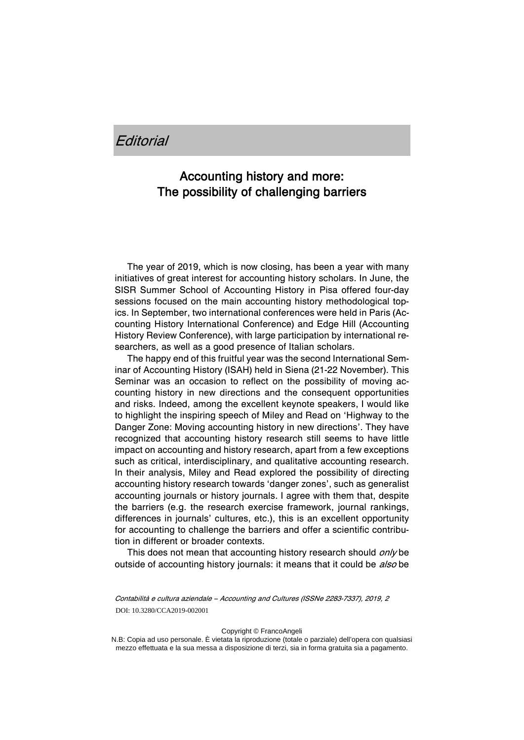## *<u>Editorial</u>*

## Accounting history and more: The possibility of challenging barriers

The year of 2019, which is now closing, has been a year with many initiatives of great interest for accounting history scholars. In June, the SISR Summer School of Accounting History in Pisa offered four-day sessions focused on the main accounting history methodological topics. In September, two international conferences were held in Paris (Accounting History International Conference) and Edge Hill (Accounting History Review Conference), with large participation by international researchers, as well as a good presence of Italian scholars.

The happy end of this fruitful year was the second International Seminar of Accounting History (ISAH) held in Siena (21-22 November). This Seminar was an occasion to reflect on the possibility of moving accounting history in new directions and the consequent opportunities and risks. Indeed, among the excellent keynote speakers, I would like to highlight the inspiring speech of Miley and Read on 'Highway to the Danger Zone: Moving accounting history in new directions'. They have recognized that accounting history research still seems to have little impact on accounting and history research, apart from a few exceptions such as critical, interdisciplinary, and qualitative accounting research. In their analysis, Miley and Read explored the possibility of directing accounting history research towards 'danger zones', such as generalist accounting journals or history journals. I agree with them that, despite the barriers (e.g. the research exercise framework, journal rankings, differences in journals' cultures, etc.), this is an excellent opportunity for accounting to challenge the barriers and offer a scientific contribution in different or broader contexts.

This does not mean that accounting history research should *only* be outside of accounting history journals: it means that it could be also be

Contabilità e cultura aziendale – Accounting and Cultures (ISSNe 2283-7337), 2019, 2 DOI: 10.3280/CCA2019-002001

Copyright © FrancoAngeli

N.B: Copia ad uso personale. È vietata la riproduzione (totale o parziale) dell'opera con qualsiasi mezzo effettuata e la sua messa a disposizione di terzi, sia in forma gratuita sia a pagamento.